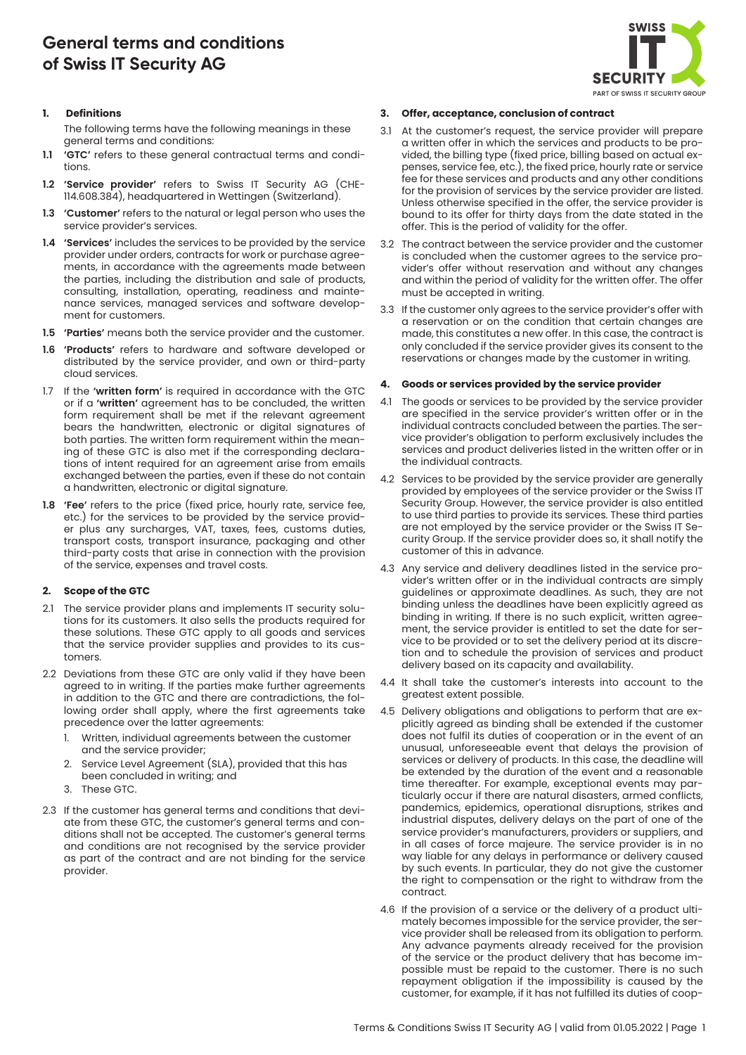# **General terms and conditions of Swiss IT Security AG**



## **1. Definitions**

The following terms have the following meanings in these general terms and conditions:

- **1.1 'GTC'** refers to these general contractual terms and conditions.
- **1.2 'Service provider'** refers to Swiss IT Security AG (CHE-114.608.384), headquartered in Wettingen (Switzerland).
- **1.3 'Customer'** refers to the natural or legal person who uses the service provider's services.
- **1.4 'Services'** includes the services to be provided by the service provider under orders, contracts for work or purchase agreements, in accordance with the agreements made between the parties, including the distribution and sale of products, consulting, installation, operating, readiness and maintenance services, managed services and software development for customers.
- **1.5 'Parties'** means both the service provider and the customer.
- **1.6 'Products'** refers to hardware and software developed or distributed by the service provider, and own or third-party cloud services.
- 1.7 If the **'written form'** is required in accordance with the GTC or if a **'written'** agreement has to be concluded, the written form requirement shall be met if the relevant agreement bears the handwritten, electronic or digital signatures of both parties. The written form requirement within the meaning of these GTC is also met if the corresponding declarations of intent required for an agreement arise from emails exchanged between the parties, even if these do not contain a handwritten, electronic or digital signature.
- **1.8 'Fee'** refers to the price (fixed price, hourly rate, service fee, etc.) for the services to be provided by the service provider plus any surcharges, VAT, taxes, fees, customs duties, transport costs, transport insurance, packaging and other third-party costs that arise in connection with the provision of the service, expenses and travel costs.

## **2. Scope of the GTC**

- 2.1 The service provider plans and implements IT security solutions for its customers. It also sells the products required for these solutions. These GTC apply to all goods and services that the service provider supplies and provides to its customers.
- 2.2 Deviations from these GTC are only valid if they have been agreed to in writing. If the parties make further agreements in addition to the GTC and there are contradictions, the following order shall apply, where the first agreements take precedence over the latter agreements:
	- Written, individual agreements between the customer and the service provider;
	- Service Level Agreement (SLA), provided that this has been concluded in writing; and
	- 3. These GTC.
- 2.3 If the customer has general terms and conditions that deviate from these GTC, the customer's general terms and conditions shall not be accepted. The customer's general terms and conditions are not recognised by the service provider as part of the contract and are not binding for the service provider.

# **3. Offer, acceptance, conclusion of contract**

- 3.1 At the customer's request, the service provider will prepare a written offer in which the services and products to be provided, the billing type (fixed price, billing based on actual expenses, service fee, etc.), the fixed price, hourly rate or service fee for these services and products and any other conditions for the provision of services by the service provider are listed. Unless otherwise specified in the offer, the service provider is bound to its offer for thirty days from the date stated in the offer. This is the period of validity for the offer.
- 3.2 The contract between the service provider and the customer is concluded when the customer agrees to the service provider's offer without reservation and without any changes and within the period of validity for the written offer. The offer must be accepted in writing.
- 3.3 If the customer only agrees to the service provider's offer with a reservation or on the condition that certain changes are made, this constitutes a new offer. In this case, the contract is only concluded if the service provider gives its consent to the reservations or changes made by the customer in writing.

# **4. Goods or services provided by the service provider**

- 4.1 The goods or services to be provided by the service provider are specified in the service provider's written offer or in the individual contracts concluded between the parties. The service provider's obligation to perform exclusively includes the services and product deliveries listed in the written offer or in the individual contracts.
- 4.2 Services to be provided by the service provider are generally provided by employees of the service provider or the Swiss IT Security Group. However, the service provider is also entitled to use third parties to provide its services. These third parties are not employed by the service provider or the Swiss IT Security Group. If the service provider does so, it shall notify the customer of this in advance.
- 4.3 Any service and delivery deadlines listed in the service provider's written offer or in the individual contracts are simply guidelines or approximate deadlines. As such, they are not binding unless the deadlines have been explicitly agreed as binding in writing. If there is no such explicit, written agreement, the service provider is entitled to set the date for service to be provided or to set the delivery period at its discretion and to schedule the provision of services and product delivery based on its capacity and availability.
- 4.4 It shall take the customer's interests into account to the greatest extent possible.
- 4.5 Delivery obligations and obligations to perform that are explicitly agreed as binding shall be extended if the customer does not fulfil its duties of cooperation or in the event of an unusual, unforeseeable event that delays the provision of services or delivery of products. In this case, the deadline will be extended by the duration of the event and a reasonable time thereafter. For example, exceptional events may particularly occur if there are natural disasters, armed conflicts, pandemics, epidemics, operational disruptions, strikes and industrial disputes, delivery delays on the part of one of the service provider's manufacturers, providers or suppliers, and in all cases of force majeure. The service provider is in no way liable for any delays in performance or delivery caused by such events. In particular, they do not give the customer the right to compensation or the right to withdraw from the contract.
- 4.6 If the provision of a service or the delivery of a product ultimately becomes impossible for the service provider, the service provider shall be released from its obligation to perform. Any advance payments already received for the provision of the service or the product delivery that has become impossible must be repaid to the customer. There is no such repayment obligation if the impossibility is caused by the customer, for example, if it has not fulfilled its duties of coop-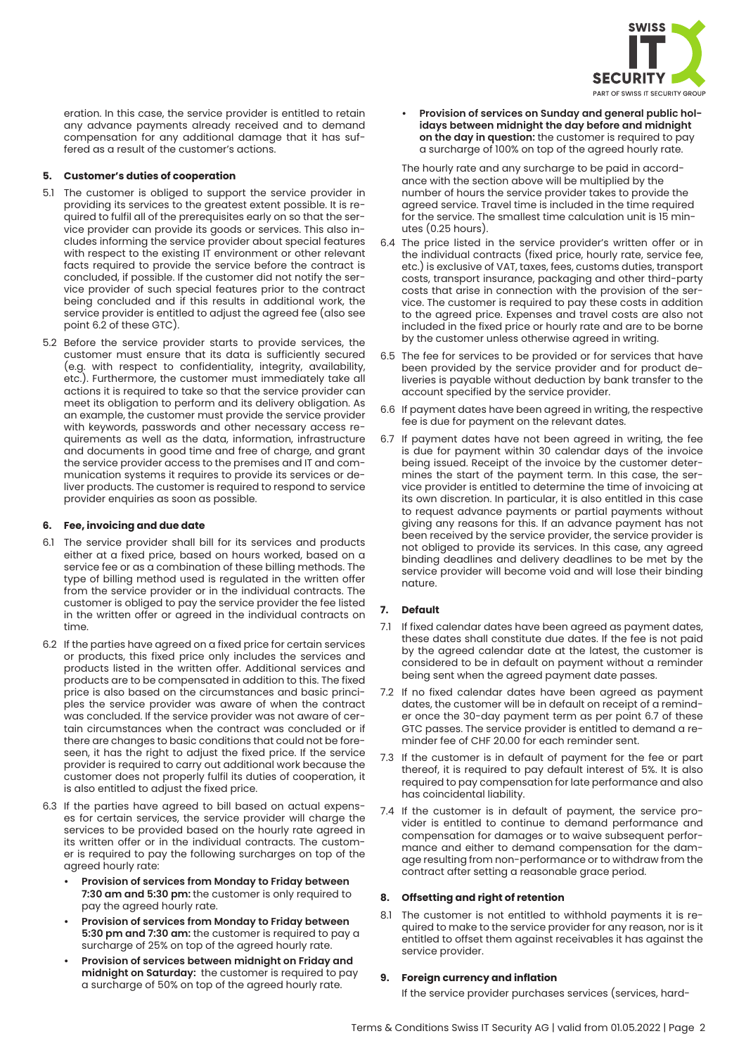

eration. In this case, the service provider is entitled to retain any advance payments already received and to demand compensation for any additional damage that it has suffered as a result of the customer's actions.

# **5. Customer's duties of cooperation**

- 5.1 The customer is obliged to support the service provider in providing its services to the greatest extent possible. It is required to fulfil all of the prerequisites early on so that the service provider can provide its goods or services. This also includes informing the service provider about special features with respect to the existing IT environment or other relevant facts required to provide the service before the contract is concluded, if possible. If the customer did not notify the service provider of such special features prior to the contract being concluded and if this results in additional work, the service provider is entitled to adjust the agreed fee (also see point 6.2 of these GTC).
- 5.2 Before the service provider starts to provide services, the customer must ensure that its data is sufficiently secured (e.g. with respect to confidentiality, integrity, availability, etc.). Furthermore, the customer must immediately take all actions it is required to take so that the service provider can meet its obligation to perform and its delivery obligation. As an example, the customer must provide the service provider with keywords, passwords and other necessary access requirements as well as the data, information, infrastructure and documents in good time and free of charge, and grant the service provider access to the premises and IT and communication systems it requires to provide its services or deliver products. The customer is required to respond to service provider enquiries as soon as possible.

# **6. Fee, invoicing and due date**

- 6.1 The service provider shall bill for its services and products either at a fixed price, based on hours worked, based on a service fee or as a combination of these billing methods. The type of billing method used is regulated in the written offer from the service provider or in the individual contracts. The customer is obliged to pay the service provider the fee listed in the written offer or agreed in the individual contracts on time.
- 6.2 If the parties have agreed on a fixed price for certain services or products, this fixed price only includes the services and products listed in the written offer. Additional services and products are to be compensated in addition to this. The fixed price is also based on the circumstances and basic principles the service provider was aware of when the contract was concluded. If the service provider was not aware of certain circumstances when the contract was concluded or if there are changes to basic conditions that could not be foreseen, it has the right to adjust the fixed price. If the service provider is required to carry out additional work because the customer does not properly fulfil its duties of cooperation, it is also entitled to adjust the fixed price.
- 6.3 If the parties have agreed to bill based on actual expenses for certain services, the service provider will charge the services to be provided based on the hourly rate agreed in its written offer or in the individual contracts. The customer is required to pay the following surcharges on top of the agreed hourly rate:
	- **• Provision of services from Monday to Friday between 7:30 am and 5:30 pm:** the customer is only required to pay the agreed hourly rate.
	- **• Provision of services from Monday to Friday between 5:30 pm and 7:30 am:** the customer is required to pay a surcharge of 25% on top of the agreed hourly rate.
	- **• Provision of services between midnight on Friday and midnight on Saturday:** the customer is required to pay a surcharge of 50% on top of the agreed hourly rate.

**• Provision of services on Sunday and general public holidays between midnight the day before and midnight on the day in question:** the customer is required to pay a surcharge of 100% on top of the agreed hourly rate.

The hourly rate and any surcharge to be paid in accordance with the section above will be multiplied by the number of hours the service provider takes to provide the agreed service. Travel time is included in the time required for the service. The smallest time calculation unit is 15 minutes (0.25 hours).

- 6.4 The price listed in the service provider's written offer or in the individual contracts (fixed price, hourly rate, service fee, etc.) is exclusive of VAT, taxes, fees, customs duties, transport costs, transport insurance, packaging and other third-party costs that arise in connection with the provision of the service. The customer is required to pay these costs in addition to the agreed price. Expenses and travel costs are also not included in the fixed price or hourly rate and are to be borne by the customer unless otherwise agreed in writing.
- 6.5 The fee for services to be provided or for services that have been provided by the service provider and for product deliveries is payable without deduction by bank transfer to the account specified by the service provider.
- 6.6 If payment dates have been agreed in writing, the respective fee is due for payment on the relevant dates.
- 6.7 If payment dates have not been agreed in writing, the fee is due for payment within 30 calendar days of the invoice being issued. Receipt of the invoice by the customer determines the start of the payment term. In this case, the service provider is entitled to determine the time of invoicing at its own discretion. In particular, it is also entitled in this case to request advance payments or partial payments without giving any reasons for this. If an advance payment has not been received by the service provider, the service provider is not obliged to provide its services. In this case, any agreed binding deadlines and delivery deadlines to be met by the service provider will become void and will lose their binding nature.

# **7. Default**

- 7.1 If fixed calendar dates have been agreed as payment dates, these dates shall constitute due dates. If the fee is not paid by the agreed calendar date at the latest, the customer is considered to be in default on payment without a reminder being sent when the agreed payment date passes.
- 7.2 If no fixed calendar dates have been agreed as payment dates, the customer will be in default on receipt of a reminder once the 30-day payment term as per point 6.7 of these GTC passes. The service provider is entitled to demand a reminder fee of CHF 20.00 for each reminder sent.
- 7.3 If the customer is in default of payment for the fee or part thereof, it is required to pay default interest of 5%. It is also required to pay compensation for late performance and also has coincidental liability.
- 7.4 If the customer is in default of payment, the service provider is entitled to continue to demand performance and compensation for damages or to waive subsequent performance and either to demand compensation for the damage resulting from non-performance or to withdraw from the contract after setting a reasonable grace period.

## **8. Offsetting and right of retention**

8.1 The customer is not entitled to withhold payments it is required to make to the service provider for any reason, nor is it entitled to offset them against receivables it has against the service provider.

## **9. Foreign currency and inflation**

If the service provider purchases services (services, hard-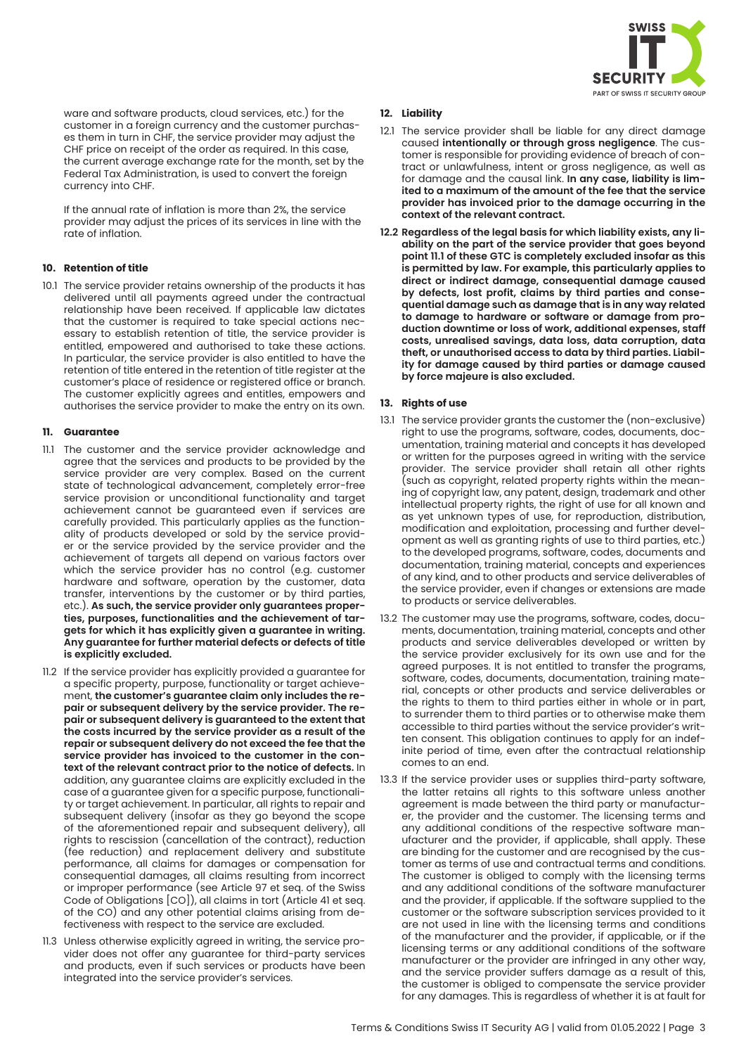

ware and software products, cloud services, etc.) for the customer in a foreign currency and the customer purchases them in turn in CHF, the service provider may adjust the CHF price on receipt of the order as required. In this case, the current average exchange rate for the month, set by the Federal Tax Administration, is used to convert the foreign currency into CHF.

If the annual rate of inflation is more than 2%, the service provider may adjust the prices of its services in line with the rate of inflation.

## **10. Retention of title**

10.1 The service provider retains ownership of the products it has delivered until all payments agreed under the contractual relationship have been received. If applicable law dictates that the customer is required to take special actions necessary to establish retention of title, the service provider is entitled, empowered and authorised to take these actions. In particular, the service provider is also entitled to have the retention of title entered in the retention of title register at the customer's place of residence or registered office or branch. The customer explicitly agrees and entitles, empowers and authorises the service provider to make the entry on its own.

## **11. Guarantee**

- 11.1 The customer and the service provider acknowledge and agree that the services and products to be provided by the service provider are very complex. Based on the current state of technological advancement, completely error-free service provision or unconditional functionality and target achievement cannot be guaranteed even if services are carefully provided. This particularly applies as the functionality of products developed or sold by the service provider or the service provided by the service provider and the achievement of targets all depend on various factors over which the service provider has no control (e.g. customer hardware and software, operation by the customer, data transfer, interventions by the customer or by third parties, etc.). **As such, the service provider only guarantees properties, purposes, functionalities and the achievement of targets for which it has explicitly given a guarantee in writing. Any guarantee for further material defects or defects of title is explicitly excluded.**
- 11.2 If the service provider has explicitly provided a guarantee for a specific property, purpose, functionality or target achievement, **the customer's guarantee claim only includes the repair or subsequent delivery by the service provider. The repair or subsequent delivery is guaranteed to the extent that the costs incurred by the service provider as a result of the repair or subsequent delivery do not exceed the fee that the service provider has invoiced to the customer in the context of the relevant contract prior to the notice of defects.** In addition, any guarantee claims are explicitly excluded in the case of a guarantee given for a specific purpose, functionality or target achievement. In particular, all rights to repair and subsequent delivery (insofar as they go beyond the scope of the aforementioned repair and subsequent delivery), all rights to rescission (cancellation of the contract), reduction (fee reduction) and replacement delivery and substitute performance, all claims for damages or compensation for consequential damages, all claims resulting from incorrect or improper performance (see Article 97 et seq. of the Swiss Code of Obligations [CO]), all claims in tort (Article 41 et seq. of the CO) and any other potential claims arising from defectiveness with respect to the service are excluded.
- 11.3 Unless otherwise explicitly agreed in writing, the service provider does not offer any guarantee for third-party services and products, even if such services or products have been integrated into the service provider's services.

## **12. Liability**

- 12.1 The service provider shall be liable for any direct damage caused **intentionally or through gross negligence**. The customer is responsible for providing evidence of breach of contract or unlawfulness, intent or gross negligence, as well as for damage and the causal link. **In any case, liability is limited to a maximum of the amount of the fee that the service provider has invoiced prior to the damage occurring in the context of the relevant contract.**
- **12.2 Regardless of the legal basis for which liability exists, any liability on the part of the service provider that goes beyond point 11.1 of these GTC is completely excluded insofar as this is permitted by law. For example, this particularly applies to direct or indirect damage, consequential damage caused by defects, lost profit, claims by third parties and consequential damage such as damage that is in any way related to damage to hardware or software or damage from production downtime or loss of work, additional expenses, staff costs, unrealised savings, data loss, data corruption, data theft, or unauthorised access to data by third parties. Liability for damage caused by third parties or damage caused by force majeure is also excluded.**

## **13. Rights of use**

- 13.1 The service provider grants the customer the (non-exclusive) right to use the programs, software, codes, documents, documentation, training material and concepts it has developed or written for the purposes agreed in writing with the service provider. The service provider shall retain all other rights (such as copyright, related property rights within the meaning of copyright law, any patent, design, trademark and other intellectual property rights, the right of use for all known and as yet unknown types of use, for reproduction, distribution, modification and exploitation, processing and further development as well as granting rights of use to third parties, etc.) to the developed programs, software, codes, documents and documentation, training material, concepts and experiences of any kind, and to other products and service deliverables of the service provider, even if changes or extensions are made to products or service deliverables.
- 13.2 The customer may use the programs, software, codes, documents, documentation, training material, concepts and other products and service deliverables developed or written by the service provider exclusively for its own use and for the agreed purposes. It is not entitled to transfer the programs, software, codes, documents, documentation, training material, concepts or other products and service deliverables or the rights to them to third parties either in whole or in part, to surrender them to third parties or to otherwise make them accessible to third parties without the service provider's written consent. This obligation continues to apply for an indefinite period of time, even after the contractual relationship comes to an end.
- 13.3 If the service provider uses or supplies third-party software, the latter retains all rights to this software unless another agreement is made between the third party or manufacturer, the provider and the customer. The licensing terms and any additional conditions of the respective software manufacturer and the provider, if applicable, shall apply. These are binding for the customer and are recognised by the customer as terms of use and contractual terms and conditions. The customer is obliged to comply with the licensing terms and any additional conditions of the software manufacturer and the provider, if applicable. If the software supplied to the customer or the software subscription services provided to it are not used in line with the licensing terms and conditions of the manufacturer and the provider, if applicable, or if the licensing terms or any additional conditions of the software manufacturer or the provider are infringed in any other way, and the service provider suffers damage as a result of this, the customer is obliged to compensate the service provider for any damages. This is regardless of whether it is at fault for